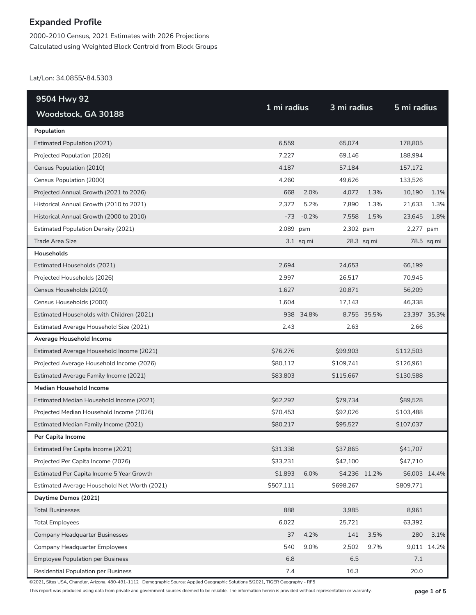2000-2010 Census, 2021 Estimates with 2026 Projections Calculated using Weighted Block Centroid from Block Groups

Lat/Lon: 34.0855/-84.5303

| 9504 Hwy 92                                  |             |             |               |             |               |             |
|----------------------------------------------|-------------|-------------|---------------|-------------|---------------|-------------|
| Woodstock, GA 30188                          | 1 mi radius |             | 3 mi radius   |             | 5 mi radius   |             |
| Population                                   |             |             |               |             |               |             |
| <b>Estimated Population (2021)</b>           | 6,559       |             | 65,074        |             | 178,805       |             |
| Projected Population (2026)                  | 7,227       |             | 69,146        |             | 188,994       |             |
| Census Population (2010)                     | 4,187       |             | 57,184        |             | 157,172       |             |
| Census Population (2000)                     | 4,260       |             | 49,626        |             | 133,526       |             |
| Projected Annual Growth (2021 to 2026)       | 668         | 2.0%        | 4,072         | 1.3%        | 10,190        | 1.1%        |
| Historical Annual Growth (2010 to 2021)      | 2,372       | 5.2%        | 7,890         | 1.3%        | 21,633        | 1.3%        |
| Historical Annual Growth (2000 to 2010)      | $-73$       | $-0.2%$     | 7,558         | 1.5%        | 23,645        | 1.8%        |
| <b>Estimated Population Density (2021)</b>   | 2,089 psm   |             | 2,302 psm     |             | 2,277 psm     |             |
| <b>Trade Area Size</b>                       |             | $3.1$ sq mi |               | 28.3 sq mi  |               | 78.5 sq mi  |
| Households                                   |             |             |               |             |               |             |
| Estimated Households (2021)                  | 2,694       |             | 24,653        |             | 66,199        |             |
| Projected Households (2026)                  | 2,997       |             | 26,517        |             | 70,945        |             |
| Census Households (2010)                     | 1,627       |             | 20,871        |             | 56,209        |             |
| Census Households (2000)                     | 1,604       |             | 17,143        |             | 46,338        |             |
| Estimated Households with Children (2021)    |             | 938 34.8%   |               | 8,755 35.5% | 23,397 35.3%  |             |
| Estimated Average Household Size (2021)      | 2.43        |             | 2.63          |             | 2.66          |             |
| Average Household Income                     |             |             |               |             |               |             |
| Estimated Average Household Income (2021)    | \$76,276    |             | \$99,903      |             | \$112,503     |             |
| Projected Average Household Income (2026)    | \$80,112    |             | \$109,741     |             | \$126,961     |             |
| Estimated Average Family Income (2021)       | \$83,803    |             | \$115,667     |             | \$130,588     |             |
| <b>Median Household Income</b>               |             |             |               |             |               |             |
| Estimated Median Household Income (2021)     | \$62,292    |             | \$79,734      |             | \$89,528      |             |
| Projected Median Household Income (2026)     | \$70,453    |             | \$92,026      |             | \$103,488     |             |
| Estimated Median Family Income (2021)        | \$80,217    |             | \$95,527      |             | \$107,037     |             |
| Per Capita Income                            |             |             |               |             |               |             |
| Estimated Per Capita Income (2021)           | \$31,338    |             | \$37,865      |             | \$41,707      |             |
| Projected Per Capita Income (2026)           | \$33,231    |             | \$42,100      |             | \$47,710      |             |
| Estimated Per Capita Income 5 Year Growth    | \$1,893     | 6.0%        | \$4,236 11.2% |             | \$6,003 14.4% |             |
| Estimated Average Household Net Worth (2021) | \$507,111   |             | \$698,267     |             | \$809,771     |             |
| Daytime Demos (2021)                         |             |             |               |             |               |             |
| <b>Total Businesses</b>                      | 888         |             | 3,985         |             | 8,961         |             |
| <b>Total Employees</b>                       | 6,022       |             | 25,721        |             | 63,392        |             |
| <b>Company Headquarter Businesses</b>        | 37          | 4.2%        | 141           | 3.5%        | 280           | 3.1%        |
| Company Headquarter Employees                | 540         | 9.0%        | 2,502         | 9.7%        |               | 9,011 14.2% |
| <b>Employee Population per Business</b>      | 6.8         |             | 6.5           |             | $7.1\,$       |             |
| Residential Population per Business          | 7.4         |             | 16.3          |             | 20.0          |             |

©2021, Sites USA, Chandler, Arizona, 480-491-1112 Demographic Source: Applied Geographic Solutions 5/2021, TIGER Geography - RF5

This report was produced using data from private and government sources deemed to be reliable. The information herein is provided without representation or warranty. **page 1 of 5**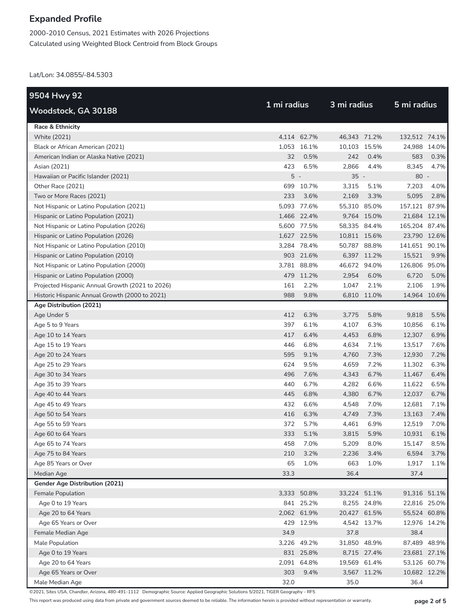2000-2010 Census, 2021 Estimates with 2026 Projections Calculated using Weighted Block Centroid from Block Groups

Lat/Lon: 34.0855/-84.5303

| 9504 Hwy 92                                     |             |             |              |             |               |              |
|-------------------------------------------------|-------------|-------------|--------------|-------------|---------------|--------------|
| Woodstock, GA 30188                             | 1 mi radius |             | 3 mi radius  |             | 5 mi radius   |              |
| Race & Ethnicity                                |             |             |              |             |               |              |
| <b>White (2021)</b>                             |             | 4,114 62.7% | 46,343 71.2% |             | 132,512 74.1% |              |
| Black or African American (2021)                |             | 1,053 16.1% | 10,103 15.5% |             | 24,988 14.0%  |              |
| American Indian or Alaska Native (2021)         | 32          | 0.5%        | 242          | 0.4%        | 583           | 0.3%         |
| Asian (2021)                                    | 423         | 6.5%        | 2,866        | 4.4%        | 8,345         | 4.7%         |
| Hawaiian or Pacific Islander (2021)             | $5 -$       |             | $35 -$       |             | $80 -$        |              |
| Other Race (2021)                               |             | 699 10.7%   | 3,315        | 5.1%        | 7,203         | 4.0%         |
| Two or More Races (2021)                        | 233         | 3.6%        | 2,169        | 3.3%        | 5,095         | 2.8%         |
| Not Hispanic or Latino Population (2021)        |             | 5,093 77.6% | 55,310 85.0% |             | 157,121 87.9% |              |
| Hispanic or Latino Population (2021)            |             | 1,466 22.4% |              | 9,764 15.0% | 21,684 12.1%  |              |
| Not Hispanic or Latino Population (2026)        |             | 5,600 77.5% | 58,335 84.4% |             | 165,204 87.4% |              |
| Hispanic or Latino Population (2026)            |             | 1,627 22.5% | 10,811 15.6% |             | 23,790 12.6%  |              |
| Not Hispanic or Latino Population (2010)        |             | 3,284 78.4% | 50,787 88.8% |             | 141,651 90.1% |              |
| Hispanic or Latino Population (2010)            |             | 903 21.6%   |              | 6,397 11.2% | 15,521        | 9.9%         |
| Not Hispanic or Latino Population (2000)        |             | 3,781 88.8% | 46,672 94.0% |             | 126,806 95.0% |              |
| Hispanic or Latino Population (2000)            |             | 479 11.2%   | 2,954        | 6.0%        | 6,720         | 5.0%         |
| Projected Hispanic Annual Growth (2021 to 2026) | 161         | 2.2%        | 1,047        | 2.1%        | 2,106         | 1.9%         |
| Historic Hispanic Annual Growth (2000 to 2021)  | 988         | 9.8%        |              | 6,810 11.0% | 14,964 10.6%  |              |
| Age Distribution (2021)                         |             |             |              |             |               |              |
| Age Under 5                                     | 412         | 6.3%        | 3,775        | 5.8%        | 9,818         | 5.5%         |
| Age 5 to 9 Years                                | 397         | 6.1%        | 4,107        | 6.3%        | 10,856        | 6.1%         |
| Age 10 to 14 Years                              | 417         | 6.4%        | 4,453        | 6.8%        | 12,307        | 6.9%         |
| Age 15 to 19 Years                              | 446         | 6.8%        | 4,634        | 7.1%        | 13,517        | 7.6%         |
| Age 20 to 24 Years                              | 595         | 9.1%        | 4,760        | 7.3%        | 12,930        | 7.2%         |
| Age 25 to 29 Years                              | 624         | 9.5%        | 4,659        | 7.2%        | 11,302        | 6.3%         |
| Age 30 to 34 Years                              | 496         | 7.6%        | 4,343        | 6.7%        | 11,467        | 6.4%         |
| Age 35 to 39 Years                              | 440         | 6.7%        | 4,282        | 6.6%        | 11,622        | 6.5%         |
| Age 40 to 44 Years                              | 445         | 6.8%        | 4,380        | 6.7%        | 12,037        | 6.7%         |
| Age 45 to 49 Years                              | 432         | 6.6%        | 4,548        | 7.0%        | 12,681        | 7.1%         |
| Age 50 to 54 Years                              | 416         | 6.3%        | 4,749        | 7.3%        | 13,163        | 7.4%         |
| Age 55 to 59 Years                              | 372         | 5.7%        | 4,461        | 6.9%        | 12,519        | 7.0%         |
| Age 60 to 64 Years                              | 333         | 5.1%        | 3,815        | 5.9%        | 10,931        | 6.1%         |
| Age 65 to 74 Years                              | 458         | 7.0%        | 5,209        | 8.0%        | 15,147        | 8.5%         |
| Age 75 to 84 Years                              | 210         | 3.2%        | 2,236        | 3.4%        | 6,594         | 3.7%         |
| Age 85 Years or Over                            | 65          | 1.0%        | 663          | 1.0%        | 1,917         | 1.1%         |
| Median Age                                      | 33.3        |             | 36.4         |             | 37.4          |              |
| Gender Age Distribution (2021)                  |             |             |              |             |               |              |
| Female Population                               |             | 3,333 50.8% | 33,224 51.1% |             | 91,316 51.1%  |              |
| Age 0 to 19 Years                               |             | 841 25.2%   |              | 8,255 24.8% |               | 22,816 25.0% |
| Age 20 to 64 Years                              |             | 2,062 61.9% | 20,427 61.5% |             |               | 55,524 60.8% |
| Age 65 Years or Over                            |             | 429 12.9%   |              | 4,542 13.7% | 12,976 14.2%  |              |
| Female Median Age                               | 34.9        |             | 37.8         |             | 38.4          |              |
| Male Population                                 |             | 3,226 49.2% | 31,850 48.9% |             |               | 87,489 48.9% |
| Age 0 to 19 Years                               |             | 831 25.8%   |              | 8,715 27.4% |               | 23,681 27.1% |
| Age 20 to 64 Years                              |             | 2,091 64.8% | 19,569 61.4% |             |               | 53,126 60.7% |
| Age 65 Years or Over                            | 303         | 9.4%        |              | 3,567 11.2% |               | 10,682 12.2% |
| Male Median Age                                 | 32.0        |             | 35.0         |             | 36.4          |              |

©2021, Sites USA, Chandler, Arizona, 480-491-1112 Demographic Source: Applied Geographic Solutions 5/2021, TIGER Geography - RF5

This report was produced using data from private and government sources deemed to be reliable. The information herein is provided without representation or warranty. **page 2 of 5**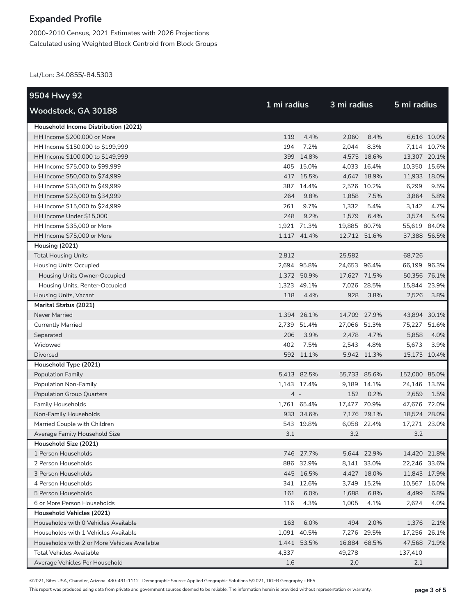2000-2010 Census, 2021 Estimates with 2026 Projections Calculated using Weighted Block Centroid from Block Groups

Lat/Lon: 34.0855/-84.5303

| 9504 Hwy 92                                  |             |             |              |             |               |             |
|----------------------------------------------|-------------|-------------|--------------|-------------|---------------|-------------|
| Woodstock, GA 30188                          | 1 mi radius |             | 3 mi radius  |             | 5 mi radius   |             |
| Household Income Distribution (2021)         |             |             |              |             |               |             |
| HH Income \$200,000 or More                  | 119         | 4.4%        | 2,060        | 8.4%        |               | 6,616 10.0% |
| HH Income \$150,000 to \$199,999             | 194         | 7.2%        | 2,044        | 8.3%        |               | 7,114 10.7% |
| HH Income \$100,000 to \$149,999             |             | 399 14.8%   |              | 4,575 18.6% | 13,307 20.1%  |             |
| HH Income \$75,000 to \$99,999               |             | 405 15.0%   |              | 4,033 16.4% | 10,350 15.6%  |             |
| HH Income \$50,000 to \$74,999               |             | 417 15.5%   |              | 4,647 18.9% | 11,933 18.0%  |             |
| HH Income \$35,000 to \$49,999               |             | 387 14.4%   |              | 2,526 10.2% | 6,299         | 9.5%        |
| HH Income \$25,000 to \$34,999               | 264         | 9.8%        | 1,858        | 7.5%        | 3,864         | 5.8%        |
| HH Income \$15,000 to \$24,999               | 261         | 9.7%        | 1,332        | 5.4%        | 3,142         | 4.7%        |
| HH Income Under \$15,000                     | 248         | 9.2%        | 1,579        | 6.4%        | 3,574         | 5.4%        |
| HH Income \$35,000 or More                   |             | 1,921 71.3% | 19,885 80.7% |             | 55,619 84.0%  |             |
| HH Income \$75,000 or More                   |             | 1,117 41.4% | 12,712 51.6% |             | 37,388 56.5%  |             |
| Housing (2021)                               |             |             |              |             |               |             |
| <b>Total Housing Units</b>                   | 2,812       |             | 25,582       |             | 68,726        |             |
| <b>Housing Units Occupied</b>                |             | 2,694 95.8% | 24,653 96.4% |             | 66,199 96.3%  |             |
| Housing Units Owner-Occupied                 |             | 1,372 50.9% | 17,627 71.5% |             | 50,356 76.1%  |             |
| Housing Units, Renter-Occupied               |             | 1,323 49.1% |              | 7,026 28.5% | 15,844 23.9%  |             |
| Housing Units, Vacant                        | 118         | 4.4%        | 928          | 3.8%        | 2,526         | 3.8%        |
| <b>Marital Status (2021)</b>                 |             |             |              |             |               |             |
| Never Married                                |             | 1,394 26.1% | 14,709 27.9% |             | 43,894 30.1%  |             |
| <b>Currently Married</b>                     |             | 2,739 51.4% | 27,066 51.3% |             | 75,227 51.6%  |             |
| Separated                                    | 206         | 3.9%        | 2,478        | 4.7%        | 5,858         | 4.0%        |
| Widowed                                      | 402         | 7.5%        | 2,543        | 4.8%        | 5,673         | 3.9%        |
| <b>Divorced</b>                              |             | 592 11.1%   |              | 5,942 11.3% | 15,173 10.4%  |             |
| Household Type (2021)                        |             |             |              |             |               |             |
| <b>Population Family</b>                     |             | 5,413 82.5% | 55,733 85.6% |             | 152,000 85.0% |             |
| Population Non-Family                        |             | 1,143 17.4% |              | 9,189 14.1% | 24,146 13.5%  |             |
| <b>Population Group Quarters</b>             | $4 -$       |             | 152          | 0.2%        | 2,659         | 1.5%        |
| <b>Family Households</b>                     |             | 1,761 65.4% | 17,477 70.9% |             | 47,676 72.0%  |             |
| Non-Family Households                        |             | 933 34.6%   |              | 7,176 29.1% | 18,524 28.0%  |             |
| Married Couple with Children                 |             | 543 19.8%   |              | 6,058 22.4% | 17,271 23.0%  |             |
| Average Family Household Size                | 3.1         |             | 3.2          |             | 3.2           |             |
| Household Size (2021)                        |             |             |              |             |               |             |
| 1 Person Households                          |             | 746 27.7%   |              | 5,644 22.9% | 14,420 21.8%  |             |
| 2 Person Households                          |             | 886 32.9%   |              | 8,141 33.0% | 22,246 33.6%  |             |
| 3 Person Households                          |             | 445 16.5%   |              | 4,427 18.0% | 11,843 17.9%  |             |
| 4 Person Households                          |             | 341 12.6%   |              | 3,749 15.2% | 10,567 16.0%  |             |
| 5 Person Households                          | 161         | 6.0%        | 1,688        | 6.8%        | 4,499         | 6.8%        |
| 6 or More Person Households                  | 116         | 4.3%        | 1,005        | 4.1%        | 2,624         | 4.0%        |
| Household Vehicles (2021)                    |             |             |              |             |               |             |
| Households with 0 Vehicles Available         | 163         | 6.0%        | 494          | 2.0%        | 1,376         | 2.1%        |
| Households with 1 Vehicles Available         |             | 1,091 40.5% |              | 7,276 29.5% | 17,256        | 26.1%       |
| Households with 2 or More Vehicles Available |             | 1,441 53.5% | 16,884 68.5% |             | 47,568 71.9%  |             |
| <b>Total Vehicles Available</b>              | 4,337       |             | 49,278       |             | 137,410       |             |
| Average Vehicles Per Household               | 1.6         |             | 2.0          |             | 2.1           |             |

©2021, Sites USA, Chandler, Arizona, 480-491-1112 Demographic Source: Applied Geographic Solutions 5/2021, TIGER Geography - RF5

This report was produced using data from private and government sources deemed to be reliable. The information herein is provided without representation or warranty. **page 3 of 5**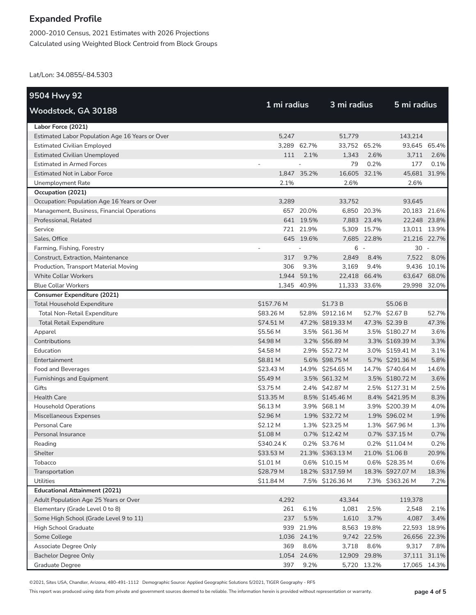2000-2010 Census, 2021 Estimates with 2026 Projections Calculated using Weighted Block Centroid from Block Groups

Lat/Lon: 34.0855/-84.5303

| 9504 Hwy 92                                     |             |             |                  |             |                  |             |
|-------------------------------------------------|-------------|-------------|------------------|-------------|------------------|-------------|
| Woodstock, GA 30188                             | 1 mi radius |             | 3 mi radius      |             | 5 mi radius      |             |
| Labor Force (2021)                              |             |             |                  |             |                  |             |
| Estimated Labor Population Age 16 Years or Over | 5,247       |             | 51,779           |             | 143,214          |             |
| <b>Estimated Civilian Employed</b>              |             | 3.289 62.7% | 33,752 65.2%     |             | 93,645 65.4%     |             |
| <b>Estimated Civilian Unemployed</b>            | 111         | 2.1%        | 1,343            | 2.6%        | 3,711            | 2.6%        |
| <b>Estimated in Armed Forces</b>                |             |             | 79               | 0.2%        | 177              | 0.1%        |
| <b>Estimated Not in Labor Force</b>             |             | 1,847 35.2% | 16,605 32.1%     |             | 45,681 31.9%     |             |
| Unemployment Rate                               | 2.1%        |             | 2.6%             |             | 2.6%             |             |
| Occupation (2021)                               |             |             |                  |             |                  |             |
| Occupation: Population Age 16 Years or Over     | 3,289       |             | 33,752           |             | 93,645           |             |
| Management, Business, Financial Operations      |             | 657 20.0%   |                  | 6,850 20.3% | 20,183 21.6%     |             |
| Professional, Related                           |             | 641 19.5%   |                  | 7,883 23.4% | 22,248 23.8%     |             |
| Service                                         |             | 721 21.9%   |                  | 5,309 15.7% | 13,011 13.9%     |             |
| Sales, Office                                   |             | 645 19.6%   |                  | 7,685 22.8% | 21,216 22.7%     |             |
| Farming, Fishing, Forestry                      |             |             | $6 -$            |             | $30 -$           |             |
| Construct, Extraction, Maintenance              | 317         | 9.7%        | 2,849            | 8.4%        | 7,522            | 8.0%        |
| Production, Transport Material Moving           | 306         | 9.3%        | 3,169            | 9.4%        |                  | 9,436 10.1% |
| <b>White Collar Workers</b>                     |             | 1,944 59.1% | 22,418 66.4%     |             | 63,647 68.0%     |             |
| <b>Blue Collar Workers</b>                      |             | 1,345 40.9% | 11,333 33.6%     |             | 29,998           | 32.0%       |
| <b>Consumer Expenditure (2021)</b>              |             |             |                  |             |                  |             |
| <b>Total Household Expenditure</b>              | \$157.76 M  |             | \$1.73 B         |             | \$5.06 B         |             |
| Total Non-Retail Expenditure                    | \$83.26 M   |             | 52.8% \$912.16 M |             | 52.7% \$2.67 B   | 52.7%       |
| <b>Total Retail Expenditure</b>                 | \$74.51 M   |             | 47.2% \$819.33 M |             | 47.3% \$2.39 B   | 47.3%       |
| Apparel                                         | \$5.56 M    |             | 3.5% \$61.36 M   |             | 3.5% \$180.27 M  | 3.6%        |
| Contributions                                   | \$4.98 M    |             | 3.2% \$56.89 M   |             | 3.3% \$169.39 M  | 3.3%        |
| Education                                       | \$4.58 M    |             | 2.9% \$52.72 M   |             | 3.0% \$159.41 M  | 3.1%        |
| Entertainment                                   | \$8.81 M    |             | 5.6% \$98.75 M   |             | 5.7% \$291.36 M  | 5.8%        |
| Food and Beverages                              | \$23.43 M   |             | 14.9% \$254.65 M |             | 14.7% \$740.64 M | 14.6%       |
| Furnishings and Equipment                       | \$5.49 M    |             | 3.5% \$61.32 M   |             | 3.5% \$180.72 M  | 3.6%        |
| Gifts                                           | \$3.75 M    |             | 2.4% \$42.87 M   |             | 2.5% \$127.31 M  | 2.5%        |
| <b>Health Care</b>                              | \$13.35 M   |             | 8.5% \$145.46 M  |             | 8.4% \$421.95 M  | 8.3%        |
| <b>Household Operations</b>                     | \$6.13 M    |             | 3.9% \$68.1 M    |             | 3.9% \$200.39 M  | 4.0%        |
| Miscellaneous Expenses                          | \$2.96 M    |             | 1.9% \$32.72 M   |             | 1.9% \$96.02 M   | 1.9%        |
| Personal Care                                   | \$2.12 M    |             | 1.3% \$23.25 M   |             | 1.3% \$67.96 M   | 1.3%        |
| Personal Insurance                              | \$1.08 M    |             | 0.7% \$12.42 M   |             | 0.7% \$37.15 M   | 0.7%        |
| Reading                                         | \$340.24 K  |             | 0.2% \$3.76 M    |             | 0.2% \$11.04 M   | 0.2%        |
| Shelter                                         | \$33.53 M   |             | 21.3% \$363.13 M |             | 21.0% \$1.06 B   | 20.9%       |
| Tobacco                                         | $$1.01$ M   |             | 0.6% \$10.15 M   |             | 0.6% \$28.35 M   | 0.6%        |
| Transportation                                  | \$28.79 M   |             | 18.2% \$317.59 M |             | 18.3% \$927.07 M | 18.3%       |
| <b>Utilities</b>                                | \$11.84 M   |             | 7.5% \$126.36 M  |             | 7.3% \$363.26 M  | 7.2%        |
| <b>Educational Attainment (2021)</b>            |             |             |                  |             |                  |             |
| Adult Population Age 25 Years or Over           | 4,292       |             | 43,344           |             | 119,378          |             |
| Elementary (Grade Level 0 to 8)                 | 261         | 6.1%        | 1,081            | 2.5%        | 2,548            | 2.1%        |
| Some High School (Grade Level 9 to 11)          | 237         | 5.5%        | 1,610            | 3.7%        | 4,087            | 3.4%        |
| High School Graduate                            |             | 939 21.9%   |                  | 8,563 19.8% | 22,593           | 18.9%       |
| Some College                                    |             | 1,036 24.1% |                  | 9,742 22.5% | 26,656 22.3%     |             |
| Associate Degree Only                           | 369         | 8.6%        | 3,718            | 8.6%        | 9,317            | 7.8%        |
| <b>Bachelor Degree Only</b>                     |             | 1,054 24.6% | 12,909 29.8%     |             | 37,111 31.1%     |             |
| Graduate Degree                                 | 397         | 9.2%        |                  | 5,720 13.2% | 17,065 14.3%     |             |

©2021, Sites USA, Chandler, Arizona, 480-491-1112 Demographic Source: Applied Geographic Solutions 5/2021, TIGER Geography - RF5

This report was produced using data from private and government sources deemed to be reliable. The information herein is provided without representation or warranty. **page 4 of 5**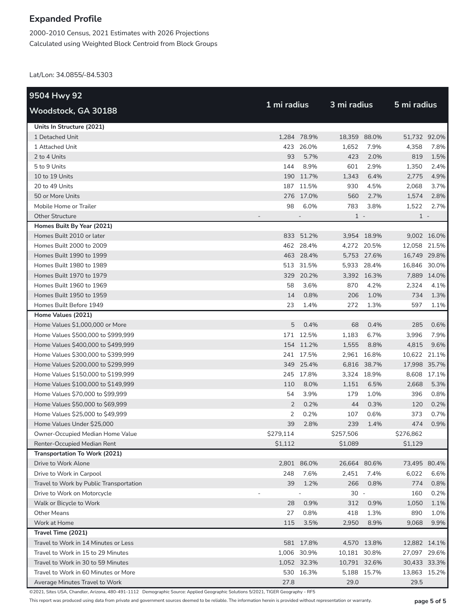2000-2010 Census, 2021 Estimates with 2026 Projections Calculated using Weighted Block Centroid from Block Groups

Lat/Lon: 34.0855/-84.5303

| 9504 Hwy 92                             |             |                          |              |             |              |             |
|-----------------------------------------|-------------|--------------------------|--------------|-------------|--------------|-------------|
| Woodstock, GA 30188                     | 1 mi radius |                          | 3 mi radius  |             | 5 mi radius  |             |
| Units In Structure (2021)               |             |                          |              |             |              |             |
| 1 Detached Unit                         |             | 1,284 78.9%              | 18,359 88.0% |             | 51,732 92.0% |             |
| 1 Attached Unit                         |             | 423 26.0%                | 1.652        | 7.9%        | 4,358        | 7.8%        |
| 2 to 4 Units                            | 93          | 5.7%                     | 423          | 2.0%        | 819          | 1.5%        |
| 5 to 9 Units                            | 144         | 8.9%                     | 601          | 2.9%        | 1,350        | 2.4%        |
| 10 to 19 Units                          |             | 190 11.7%                | 1,343        | 6.4%        | 2,775        | 4.9%        |
| 20 to 49 Units                          |             | 187 11.5%                | 930          | 4.5%        | 2,068        | 3.7%        |
| 50 or More Units                        |             | 276 17.0%                | 560          | 2.7%        | 1,574        | 2.8%        |
| Mobile Home or Trailer                  | 98          | 6.0%                     | 783          | 3.8%        | 1,522        | 2.7%        |
| <b>Other Structure</b>                  |             | $\overline{\phantom{0}}$ | $1 -$        |             | $1 -$        |             |
| Homes Built By Year (2021)              |             |                          |              |             |              |             |
| Homes Built 2010 or later               |             | 833 51.2%                |              | 3,954 18.9% |              | 9,002 16.0% |
| Homes Built 2000 to 2009                |             | 462 28.4%                |              | 4,272 20.5% | 12,058 21.5% |             |
| Homes Built 1990 to 1999                |             | 463 28.4%                |              | 5,753 27.6% | 16,749 29.8% |             |
| Homes Built 1980 to 1989                |             | 513 31.5%                |              | 5,933 28.4% | 16,846 30.0% |             |
| Homes Built 1970 to 1979                |             | 329 20.2%                |              | 3,392 16.3% |              | 7,889 14.0% |
| Homes Built 1960 to 1969                | 58          | 3.6%                     | 870          | 4.2%        | 2,324        | 4.1%        |
| Homes Built 1950 to 1959                | 14          | 0.8%                     | 206          | 1.0%        | 734          | 1.3%        |
| Homes Built Before 1949                 | 23          | 1.4%                     | 272          | 1.3%        | 597          | 1.1%        |
| Home Values (2021)                      |             |                          |              |             |              |             |
| Home Values \$1,000,000 or More         | 5           | 0.4%                     | 68           | 0.4%        | 285          | 0.6%        |
| Home Values \$500,000 to \$999,999      |             | 171 12.5%                | 1,183        | 6.7%        | 3,996        | 7.9%        |
| Home Values \$400,000 to \$499,999      |             | 154 11.2%                | 1,555        | 8.8%        | 4,815        | 9.6%        |
| Home Values \$300,000 to \$399,999      |             | 241 17.5%                | 2,961        | 16.8%       | 10,622       | 21.1%       |
| Home Values \$200,000 to \$299,999      |             | 349 25.4%                |              | 6,816 38.7% | 17,998 35.7% |             |
| Home Values \$150,000 to \$199,999      |             | 245 17.8%                |              | 3,324 18.9% |              | 8,608 17.1% |
| Home Values \$100,000 to \$149,999      | 110         | 8.0%                     | 1,151        | 6.5%        | 2,668        | 5.3%        |
| Home Values \$70,000 to \$99,999        | 54          | 3.9%                     | 179          | 1.0%        | 396          | 0.8%        |
| Home Values \$50,000 to \$69,999        | 2           | 0.2%                     | 44           | 0.3%        | 120          | 0.2%        |
| Home Values \$25,000 to \$49,999        | 2           | 0.2%                     | 107          | 0.6%        | 373          | 0.7%        |
| Home Values Under \$25,000              | 39          | 2.8%                     | 239          | 1.4%        | 474          | 0.9%        |
| Owner-Occupied Median Home Value        | \$279,114   |                          | \$257,506    |             | \$276,862    |             |
| Renter-Occupied Median Rent             | \$1,112     |                          | \$1,089      |             | \$1,129      |             |
| Transportation To Work (2021)           |             |                          |              |             |              |             |
| Drive to Work Alone                     |             | 2,801 86.0%              | 26,664 80.6% |             | 73,495 80.4% |             |
| Drive to Work in Carpool                | 248         | 7.6%                     | 2,451        | 7.4%        | 6,022        | 6.6%        |
| Travel to Work by Public Transportation | 39          | 1.2%                     | 266          | 0.8%        | 774          | 0.8%        |
| Drive to Work on Motorcycle             |             |                          | $30 -$       |             | 160          | 0.2%        |
| Walk or Bicycle to Work                 | 28          | 0.9%                     | 312          | 0.9%        | 1,050        | 1.1%        |
| <b>Other Means</b>                      | 27          | 0.8%                     | 418          | 1.3%        | 890          | 1.0%        |
| Work at Home                            | 115         | 3.5%                     | 2,950        | 8.9%        | 9,068        | 9.9%        |
| Travel Time (2021)                      |             |                          |              |             |              |             |
| Travel to Work in 14 Minutes or Less    |             | 581 17.8%                |              | 4,570 13.8% | 12,882 14.1% |             |
| Travel to Work in 15 to 29 Minutes      |             | 1,006 30.9%              | 10,181 30.8% |             | 27,097 29.6% |             |
| Travel to Work in 30 to 59 Minutes      |             | 1,052 32.3%              | 10,791 32.6% |             | 30,433 33.3% |             |
| Travel to Work in 60 Minutes or More    |             | 530 16.3%                |              | 5,188 15.7% | 13,863 15.2% |             |
| Average Minutes Travel to Work          | 27.8        |                          | 29.0         |             | 29.5         |             |

©2021, Sites USA, Chandler, Arizona, 480-491-1112 Demographic Source: Applied Geographic Solutions 5/2021, TIGER Geography - RF5

This report was produced using data from private and government sources deemed to be reliable. The information herein is provided without representation or warranty. **page 5 of 5**